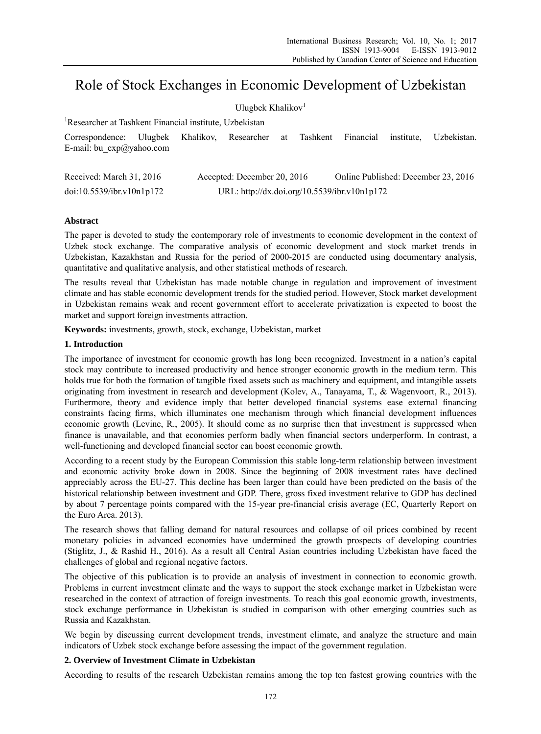# Role of Stock Exchanges in Economic Development of Uzbekistan

| Ulugbek Khalikov <sup>1</sup>                          |         |                                              |                             |    |          |                                     |            |             |
|--------------------------------------------------------|---------|----------------------------------------------|-----------------------------|----|----------|-------------------------------------|------------|-------------|
| Researcher at Tashkent Financial institute, Uzbekistan |         |                                              |                             |    |          |                                     |            |             |
| Correspondence:<br>E-mail: bu $exp(a)$ yahoo.com       | Ulugbek |                                              | Khalikov, Researcher        | at | Tashkent | Financial                           | institute. | Uzbekistan. |
| Received: March 31, 2016                               |         |                                              | Accepted: December 20, 2016 |    |          | Online Published: December 23, 2016 |            |             |
| doi:10.5539/ibr.v10n1p172                              |         | URL: http://dx.doi.org/10.5539/ibr.v10n1p172 |                             |    |          |                                     |            |             |

# **Abstract**

The paper is devoted to study the contemporary role of investments to economic development in the context of Uzbek stock exchange. The comparative analysis of economic development and stock market trends in Uzbekistan, Kazakhstan and Russia for the period of 2000-2015 are conducted using documentary analysis, quantitative and qualitative analysis, and other statistical methods of research.

The results reveal that Uzbekistan has made notable change in regulation and improvement of investment climate and has stable economic development trends for the studied period. However, Stock market development in Uzbekistan remains weak and recent government effort to accelerate privatization is expected to boost the market and support foreign investments attraction.

**Keywords:** investments, growth, stock, exchange, Uzbekistan, market

## **1. Introduction**

The importance of investment for economic growth has long been recognized. Investment in a nation's capital stock may contribute to increased productivity and hence stronger economic growth in the medium term. This holds true for both the formation of tangible fixed assets such as machinery and equipment, and intangible assets originating from investment in research and development (Kolev, A., Tanayama, T., & Wagenvoort, R., 2013). Furthermore, theory and evidence imply that better developed financial systems ease external financing constraints facing firms, which illuminates one mechanism through which financial development influences economic growth (Levine, R., 2005). It should come as no surprise then that investment is suppressed when finance is unavailable, and that economies perform badly when financial sectors underperform. In contrast, a well-functioning and developed financial sector can boost economic growth.

According to a recent study by the European Commission this stable long-term relationship between investment and economic activity broke down in 2008. Since the beginning of 2008 investment rates have declined appreciably across the EU-27. This decline has been larger than could have been predicted on the basis of the historical relationship between investment and GDP. There, gross fixed investment relative to GDP has declined by about 7 percentage points compared with the 15-year pre-financial crisis average (EC, Quarterly Report on the Euro Area. 2013).

The research shows that falling demand for natural resources and collapse of oil prices combined by recent monetary policies in advanced economies have undermined the growth prospects of developing countries (Stiglitz, J., & Rashid H., 2016). As a result all Central Asian countries including Uzbekistan have faced the challenges of global and regional negative factors.

The objective of this publication is to provide an analysis of investment in connection to economic growth. Problems in current investment climate and the ways to support the stock exchange market in Uzbekistan were researched in the context of attraction of foreign investments. To reach this goal economic growth, investments, stock exchange performance in Uzbekistan is studied in comparison with other emerging countries such as Russia and Kazakhstan.

We begin by discussing current development trends, investment climate, and analyze the structure and main indicators of Uzbek stock exchange before assessing the impact of the government regulation.

# **2. Overview of Investment Climate in Uzbekistan**

According to results of the research Uzbekistan remains among the top ten fastest growing countries with the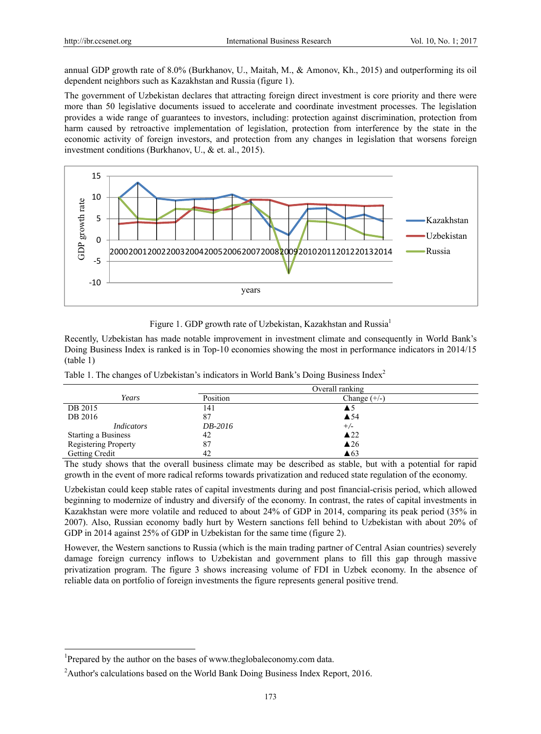annual GDP growth rate of 8.0% (Burkhanov, U., Maitah, M., & Amonov, Kh., 2015) and outperforming its oil dependent neighbors such as Kazakhstan and Russia (figure 1).

The government of Uzbekistan declares that attracting foreign direct investment is core priority and there were more than 50 legislative documents issued to accelerate and coordinate investment processes. The legislation provides a wide range of guarantees to investors, including: protection against discrimination, protection from harm caused by retroactive implementation of legislation, protection from interference by the state in the economic activity of foreign investors, and protection from any changes in legislation that worsens foreign investment conditions (Burkhanov, U., & et. al., 2015).



Figure 1. GDP growth rate of Uzbekistan, Kazakhstan and Russia<sup>1</sup>

Recently, Uzbekistan has made notable improvement in investment climate and consequently in World Bank's Doing Business Index is ranked is in Top-10 economies showing the most in performance indicators in 2014/15 (table 1)

|  | Table 1. The changes of Uzbekistan's indicators in World Bank's Doing Business Index <sup>2</sup> |  |  |  |  |  |  |
|--|---------------------------------------------------------------------------------------------------|--|--|--|--|--|--|
|  |                                                                                                   |  |  |  |  |  |  |
|  |                                                                                                   |  |  |  |  |  |  |

|                            | Overall ranking |                |  |
|----------------------------|-----------------|----------------|--|
| Years                      | Position        | Change $(+/-)$ |  |
| DB 2015                    | 141             | ▲5             |  |
| DB 2016                    | 87              | $\triangle$ 54 |  |
| <i>Indicators</i>          | DB-2016         | $+/-$          |  |
| <b>Starting a Business</b> | 42              | $\triangle 22$ |  |
| Registering Property       | 87              | $\triangle$ 26 |  |
| Getting Credit             | 42              | $\triangle 63$ |  |

The study shows that the overall business climate may be described as stable, but with a potential for rapid growth in the event of more radical reforms towards privatization and reduced state regulation of the economy.

Uzbekistan could keep stable rates of capital investments during and post financial-crisis period, which allowed beginning to modernize of industry and diversify of the economy. In contrast, the rates of capital investments in Kazakhstan were more volatile and reduced to about 24% of GDP in 2014, comparing its peak period (35% in 2007). Also, Russian economy badly hurt by Western sanctions fell behind to Uzbekistan with about 20% of GDP in 2014 against 25% of GDP in Uzbekistan for the same time (figure 2).

However, the Western sanctions to Russia (which is the main trading partner of Central Asian countries) severely damage foreign currency inflows to Uzbekistan and government plans to fill this gap through massive privatization program. The figure 3 shows increasing volume of FDI in Uzbek economy. In the absence of reliable data on portfolio of foreign investments the figure represents general positive trend.

 $\overline{a}$ 

<sup>&</sup>lt;sup>1</sup>Prepared by the author on the bases of www.theglobaleconomy.com data.

<sup>&</sup>lt;sup>2</sup> Author's calculations based on the World Bank Doing Business Index Report, 2016.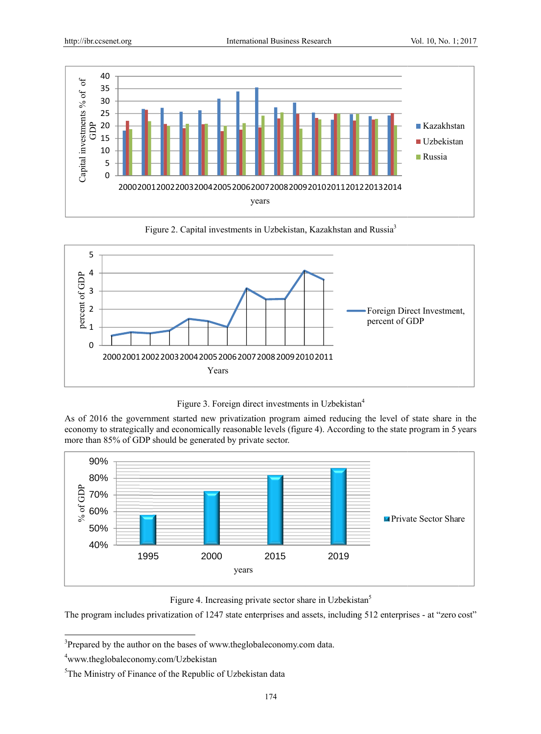

Figure 2. Capital investments in Uzbekistan, Kazakhstan and Russia<sup>3</sup>



Figure 3. Foreign direct investments in Uzbekistan<sup>4</sup>

As of 2016 the government started new privatization program aimed reducing the level of state share in the economy to strategically and economically reasonable levels (figure 4). According to the state program in 5 years more than 85% of GDP should be generated by private sector.



Figure 4. Increasing private sector share in Uzbekistan<sup>5</sup>

The program includes privatization of 1247 state enterprises and assets, including 512 enterprises - at "zero cost"

<sup>&</sup>lt;sup>3</sup>Prepared by the author on the bases of www.theglobaleconomy.com data.

<sup>&</sup>lt;sup>4</sup>www.theglobaleconomy.com/Uzbekistan

<sup>&</sup>lt;sup>5</sup>The Ministry of Finance of the Republic of Uzbekistan data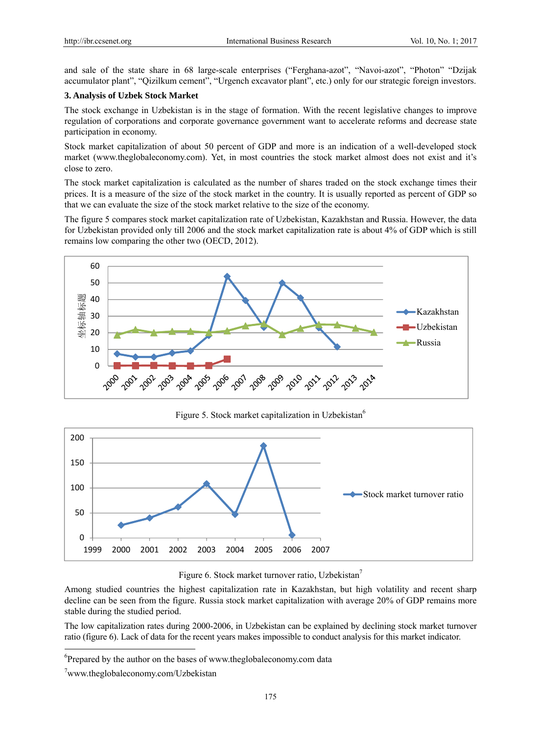and sale of the state share in 68 large-scale enterprises ("Ferghana-azot", "Navoi-azot", "Photon" "Dzijak accumulator plant", "Qizilkum cement", "Urgench excavator plant", etc.) only for our strategic foreign investors.

## **3. Analysis of Uzbek Stock Market**

The stock exchange in Uzbekistan is in the stage of formation. With the recent legislative changes to improve regulation of corporations and corporate governance government want to accelerate reforms and decrease state participation in economy.

Stock market capitalization of about 50 percent of GDP and more is an indication of a well-developed stock market (www.theglobaleconomy.com). Yet, in most countries the stock market almost does not exist and it's close to zero.

The stock market capitalization is calculated as the number of shares traded on the stock exchange times their prices. It is a measure of the size of the stock market in the country. It is usually reported as percent of GDP so that we can evaluate the size of the stock market relative to the size of the economy.

The figure 5 compares stock market capitalization rate of Uzbekistan, Kazakhstan and Russia. However, the data for Uzbekistan provided only till 2006 and the stock market capitalization rate is about 4% of GDP which is still remains low comparing the other two (OECD, 2012).



Figure 5. Stock market capitalization in Uzbekistan<sup>6</sup>



#### Figure 6. Stock market turnover ratio, Uzbekistan<sup>7</sup>

Among studied countries the highest capitalization rate in Kazakhstan, but high volatility and recent sharp decline can be seen from the figure. Russia stock market capitalization with average 20% of GDP remains more stable during the studied period.

The low capitalization rates during 2000-2006, in Uzbekistan can be explained by declining stock market turnover ratio (figure 6). Lack of data for the recent years makes impossible to conduct analysis for this market indicator.

 $\overline{a}$ 

<sup>&</sup>lt;sup>6</sup>Prepared by the author on the bases of www.theglobaleconomy.com data

<sup>7</sup> www.theglobaleconomy.com/Uzbekistan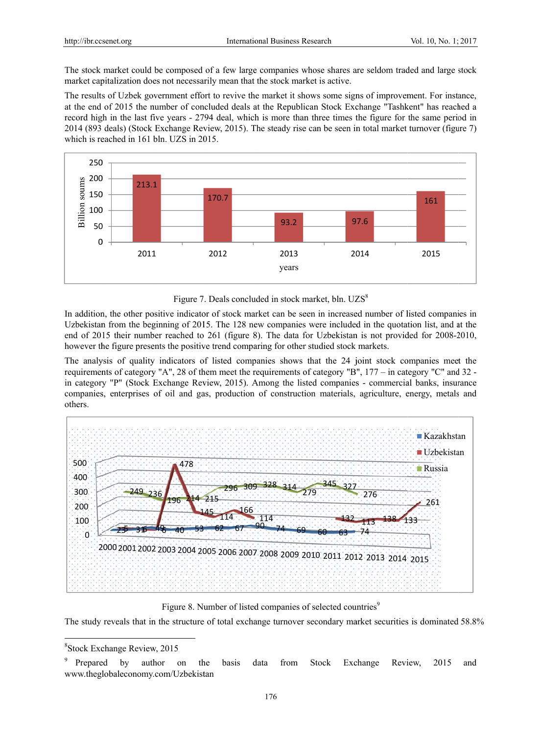The stock market could be composed of a few large companies whose shares are seldom traded and large stock market capitalization does not necessarily mean that the stock market is active.

The results of Uzbek government effort to revive the market it shows some signs of improvement. For instance, at the end of 2015 the number of concluded deals at the Republican Stock Exchange "Tashkent" has reached a record high in the last five years - 2794 deal, which is more than three times the figure for the same period in 2014 (893 deals) (Stock Exchange Review, 2015). The steady rise can be seen in total market turnover (figure 7) which is reached in 161 bln. UZS in 2015.



Figure 7. Deals concluded in stock market, bln. UZS<sup>8</sup>

In addition, the other positive indicator of stock market can be seen in increased number of listed companies in Uzbekistan from the beginning of 2015. The 128 new companies were included in the quotation list, and at the end of 2015 their number reached to 261 (figure 8). The data for Uzbekistan is not provided for 2008-2010, however the figure presents the positive trend comparing for other studied stock markets.

The analysis of quality indicators of listed companies shows that the 24 joint stock companies meet the requirements of category "A", 28 of them meet the requirements of category "B", 177 - in category "C" and 32 in category "P" (Stock Exchange Review, 2015). Among the listed companies - commercial banks, insurance companies, enterprises of oil and gas, production of construction materials, agriculture, energy, metals and others.



Figure 8. Number of listed companies of selected countries<sup>9</sup>

The study reveals that in the structure of total exchange turnover secondary market securities is dominated 58.8%

<sup>&</sup>lt;sup>8</sup>Stock Exchange Review, 2015

<sup>&</sup>lt;sup>9</sup> Prepared by author on the basis data from Stock Exchange Review, 2015 and www.theglobaleconomy.com/Uzbekistan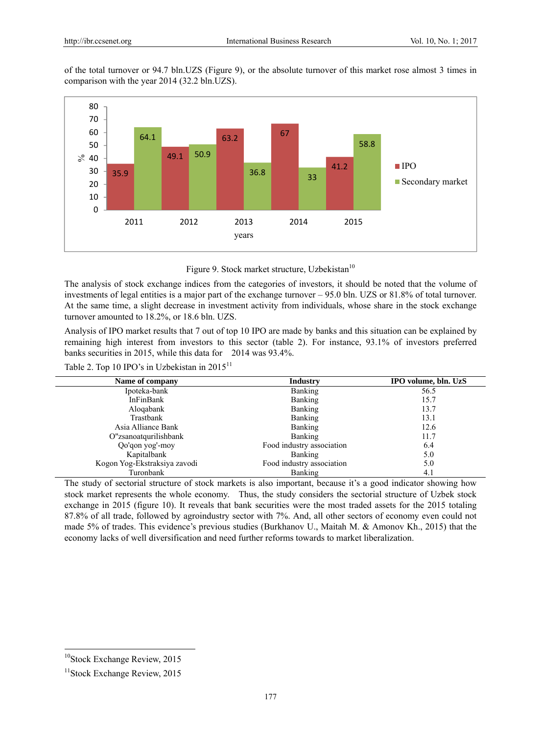of the total turnover or 94.7 bln.UZS (Figure 9), or the absolute turnover of this market rose almost 3 times in comparison with the year 2014 (32.2 bln.UZS).



Figure 9. Stock market structure, Uzbekistan<sup>10</sup>

The analysis of stock exchange indices from the categories of investors, it should be noted that the volume of investments of legal entities is a major part of the exchange turnover – 95.0 bln. UZS or 81.8% of total turnover. At the same time, a slight decrease in investment activity from individuals, whose share in the stock exchange turnover amounted to 18.2%, or 18.6 bln. UZS.

Analysis of IPO market results that 7 out of top 10 IPO are made by banks and this situation can be explained by remaining high interest from investors to this sector (table 2). For instance, 93.1% of investors preferred banks securities in 2015, while this data for 2014 was 93.4%.

Table 2. Top 10 IPO's in Uzbekistan in 2015<sup>11</sup>

| Name of company              | Industry                  | IPO volume, bln. UzS |  |
|------------------------------|---------------------------|----------------------|--|
| Ipoteka-bank                 | <b>Banking</b>            | 56.5                 |  |
| InFinBank                    | Banking                   | 15.7                 |  |
| Alogabank                    | <b>Banking</b>            | 13.7                 |  |
| Trastbank                    | <b>Banking</b>            | 13.1                 |  |
| Asia Alliance Bank           | <b>Banking</b>            | 12.6                 |  |
| O"zsanoatqurilishbank        | <b>Banking</b>            | 11.7                 |  |
| Qo'qon yog'-moy              | Food industry association | 6.4                  |  |
| Kapitalbank                  | <b>Banking</b>            | 5.0                  |  |
| Kogon Yog-Ekstraksiya zavodi | Food industry association | 5.0                  |  |
| Turonbank                    | Banking                   | 4.1                  |  |

The study of sectorial structure of stock markets is also important, because it's a good indicator showing how stock market represents the whole economy. Thus, the study considers the sectorial structure of Uzbek stock exchange in 2015 (figure 10). It reveals that bank securities were the most traded assets for the 2015 totaling 87.8% of all trade, followed by agroindustry sector with 7%. And, all other sectors of economy even could not made 5% of trades. This evidence's previous studies (Burkhanov U., Maitah M. & Amonov Kh., 2015) that the economy lacks of well diversification and need further reforms towards to market liberalization.

 $\overline{a}$ 

<sup>&</sup>lt;sup>10</sup>Stock Exchange Review, 2015

<sup>&</sup>lt;sup>11</sup>Stock Exchange Review, 2015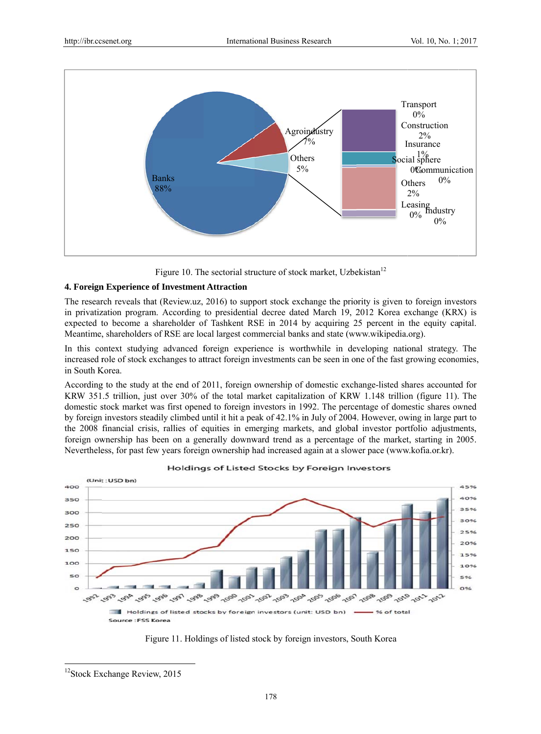

Figure 10. The sectorial structure of stock market, Uzbekistan<sup>12</sup>

# 4. Foreign Experience of Investment Attraction

The research reveals that (Review.uz, 2016) to support stock exchange the priority is given to foreign investors in privatization program. According to presidential decree dated March 19, 2012 Korea exchange (KRX) is expected to become a shareholder of Tashkent RSE in 2014 by acquiring 25 percent in the equity capital. Meantime, shareholders of RSE are local largest commercial banks and state (www.wikipedia.org).

In this context studying advanced foreign experience is worthwhile in developing national strategy. The increased role of stock exchanges to attract foreign investments can be seen in one of the fast growing economies. in South Korea

According to the study at the end of 2011, foreign ownership of domestic exchange-listed shares accounted for KRW 351.5 trillion, just over 30% of the total market capitalization of KRW 1.148 trillion (figure 11). The domestic stock market was first opened to foreign investors in 1992. The percentage of domestic shares owned by foreign investors steadily climbed until it hit a peak of 42.1% in July of 2004. However, owing in large part to the 2008 financial crisis, rallies of equities in emerging markets, and global investor portfolio adjustments, foreign ownership has been on a generally downward trend as a percentage of the market, starting in 2005. Nevertheless, for past few years foreign ownership had increased again at a slower pace (www.kofia.or.kr).



Holdings of Listed Stocks by Foreign Investors



<sup>&</sup>lt;sup>12</sup>Stock Exchange Review, 2015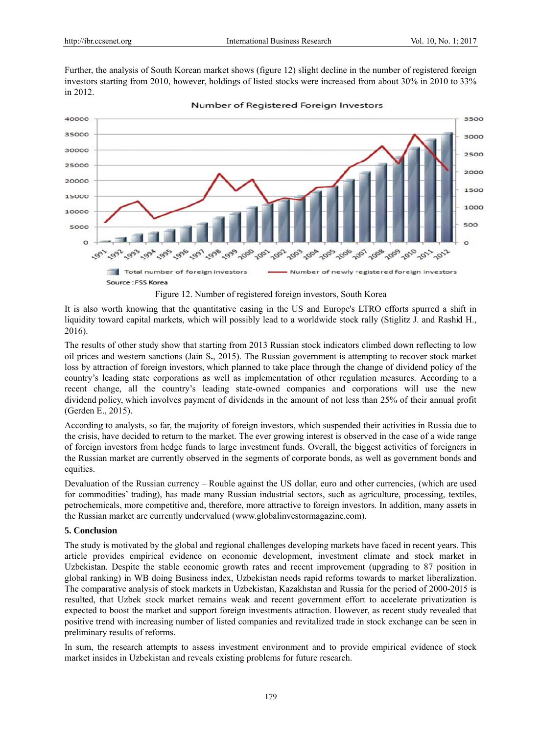Further, the analysis of South Korean market shows (figure 12) slight decline in the number of registered foreign investors starting from 2010, however, holdings of listed stocks were increased from about 30% in 2010 to 33% in 2012.



Number of Registered Foreign Investors

Figure 12. Number of registered foreign investors, South Korea

It is also worth knowing that the quantitative easing in the US and Europe's LTRO efforts spurred a shift in liquidity toward capital markets, which will possibly lead to a worldwide stock rally (Stiglitz J. and Rashid H., 2016).

The results of other study show that starting from 2013 Russian stock indicators climbed down reflecting to low oil prices and western sanctions (Jain S., 2015). The Russian government is attempting to recover stock market loss by attraction of foreign investors, which planned to take place through the change of dividend policy of the country's leading state corporations as well as implementation of other regulation measures. According to a recent change, all the country's leading state-owned companies and corporations will use the new dividend policy, which involves payment of dividends in the amount of not less than 25% of their annual profit (Gerden E E., 2015).

According to analysts, so far, the majority of foreign investors, which suspended their activities in Russia due to the crisis, have decided to return to the market. The ever growing interest is observed in the case of a wide range of foreign investors from hedge funds to large investment funds. Overall, the biggest activities of foreigners in the Russian market are currently observed in the segments of corporate bonds, as well as government bonds and equities.

Devaluation of the Russian currency – Rouble against the US dollar, euro and other currencies, (which are used for commodities' trading), has made many Russian industrial sectors, such as agriculture, processing, textiles, petrochemicals, more competitive and, therefore, more attractive to foreign investors. In addition, many assets in the Russian market are currently undervalued (www.globalinvestormagazine.com).

## **5. Conclus sion**

The study is motivated by the global and regional challenges developing markets have faced in recent years. This article provides empirical evidence on economic development, investment climate and stock market in Uzbekistan. Despite the stable economic growth rates and recent improvement (upgrading to 87 position in global ranking) in WB doing Business index, Uzbekistan needs rapid reforms towards to market liberalization. The comparative analysis of stock markets in Uzbekistan, Kazakhstan and Russia for the period of 2000-2015 is resulted, that Uzbek stock market remains weak and recent government effort to accelerate privatization is expected to boost the market and support foreign investments attraction. However, as recent study revealed that positive trend with increasing number of listed companies and revitalized trade in stock exchange can be seen in preliminary results of reforms.

In sum, the research attempts to assess investment environment and to provide empirical evidence of stock market insides in Uzbekistan and reveals existing problems for future research.